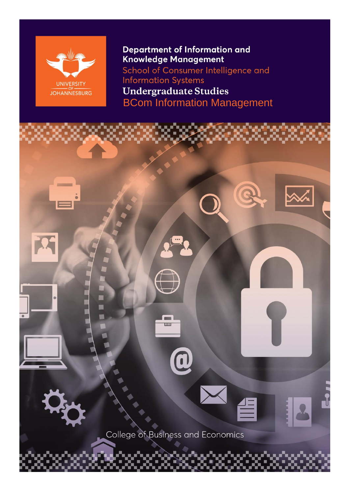

Department of Information and Knowledge Management School of Consumer Intelligence and **Information Systems Undergraduate Studies** BCom Information Management

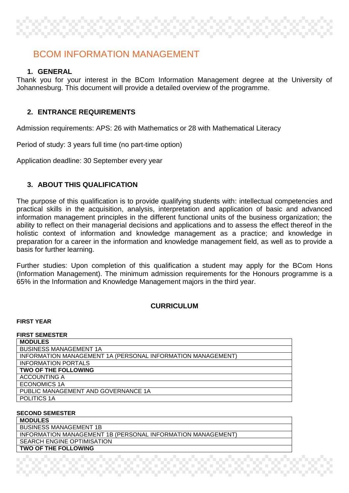# BCOM INFORMATION MANAGEMENT

## **1. GENERAL**

Thank you for your interest in the BCom Information Management degree at the University of Johannesburg. This document will provide a detailed overview of the programme.

## **2. ENTRANCE REQUIREMENTS**

Admission requirements: APS: 26 with Mathematics or 28 with Mathematical Literacy

Period of study: 3 years full time (no part-time option)

Application deadline: 30 September every year

## **3. ABOUT THIS QUALIFICATION**

The purpose of this qualification is to provide qualifying students with: intellectual competencies and practical skills in the acquisition, analysis, interpretation and application of basic and advanced information management principles in the different functional units of the business organization; the ability to reflect on their managerial decisions and applications and to assess the effect thereof in the holistic context of information and knowledge management as a practice; and knowledge in preparation for a career in the information and knowledge management field, as well as to provide a basis for further learning.

Further studies: Upon completion of this qualification a student may apply for the BCom Hons (Information Management). The minimum admission requirements for the Honours programme is a 65% in the Information and Knowledge Management majors in the third year.

## **CURRICULUM**

### **FIRST YEAR**

| <b>FIRST SEMESTER</b>                                       |
|-------------------------------------------------------------|
| <b>MODULES</b>                                              |
| <b>BUSINESS MANAGEMENT 1A</b>                               |
| INFORMATION MANAGEMENT 1A (PERSONAL INFORMATION MANAGEMENT) |
| <b>INFORMATION PORTALS</b>                                  |
| <b>TWO OF THE FOLLOWING</b>                                 |
| <b>ACCOUNTING A</b>                                         |
| ECONOMICS 1A                                                |
| PUBLIC MANAGEMENT AND GOVERNANCE 1A                         |
| POLITICS 1A                                                 |
|                                                             |

### **SECOND SEMESTER**

**MODULES** BUSINESS MANAGEMENT 1B INFORMATION MANAGEMENT 1B (PERSONAL INFORMATION MANAGEMENT) SEARCH ENGINE OPTIMISATION **TWO OF THE FOLLOWING**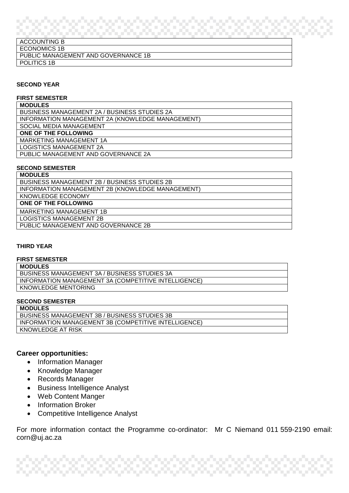## ACCOUNTING B ECONOMICS 1B PUBLIC MANAGEMENT AND GOVERNANCE 1B POLITICS 1B

#### **SECOND YEAR**

#### **FIRST SEMESTER**

| BUSINESS MANAGEMENT 2A / BUSINESS STUDIES 2A     |
|--------------------------------------------------|
| INFORMATION MANAGEMENT 2A (KNOWLEDGE MANAGEMENT) |
| SOCIAL MEDIA MANAGEMENT                          |
| ONE OF THE FOLLOWING                             |
| MARKETING MANAGEMENT 1A                          |
| <b>LOGISTICS MANAGEMENT 2A</b>                   |
| PUBLIC MANAGEMENT AND GOVERNANCE 2A              |
|                                                  |

#### **SECOND SEMESTER**

| <b>MODULES</b>                                      |
|-----------------------------------------------------|
| <b>BUSINESS MANAGEMENT 2B / BUSINESS STUDIES 2B</b> |
| INFORMATION MANAGEMENT 2B (KNOWLEDGE MANAGEMENT)    |
| KNOWLEDGE ECONOMY                                   |
| ONE OF THE FOLLOWING                                |
| <b>MARKETING MANAGEMENT 1B</b>                      |
| <b>LOGISTICS MANAGEMENT 2B</b>                      |
| PUBLIC MANAGEMENT AND GOVERNANCE 2B                 |
|                                                     |

#### **THIRD YEAR**

#### **FIRST SEMESTER**

**MODULES**

BUSINESS MANAGEMENT 3A / BUSINESS STUDIES 3A INFORMATION MANAGEMENT 3A (COMPETITIVE INTELLIGENCE) KNOWLEDGE MENTORING

#### **SECOND SEMESTER**

| <b>MODULES</b>                                       |
|------------------------------------------------------|
| BUSINESS MANAGEMENT 3B / BUSINESS STUDIES 3B         |
| INFORMATION MANAGEMENT 3B (COMPETITIVE INTELLIGENCE) |
| KNOWLEDGE AT RISK                                    |

#### **Career opportunities:**

- Information Manager
- Knowledge Manager
- Records Manager
- Business Intelligence Analyst
- Web Content Manger
- Information Broker
- Competitive Intelligence Analyst

For more information contact the Programme co-ordinator: Mr C Niemand 011 559-2190 email: corn@uj.ac.za